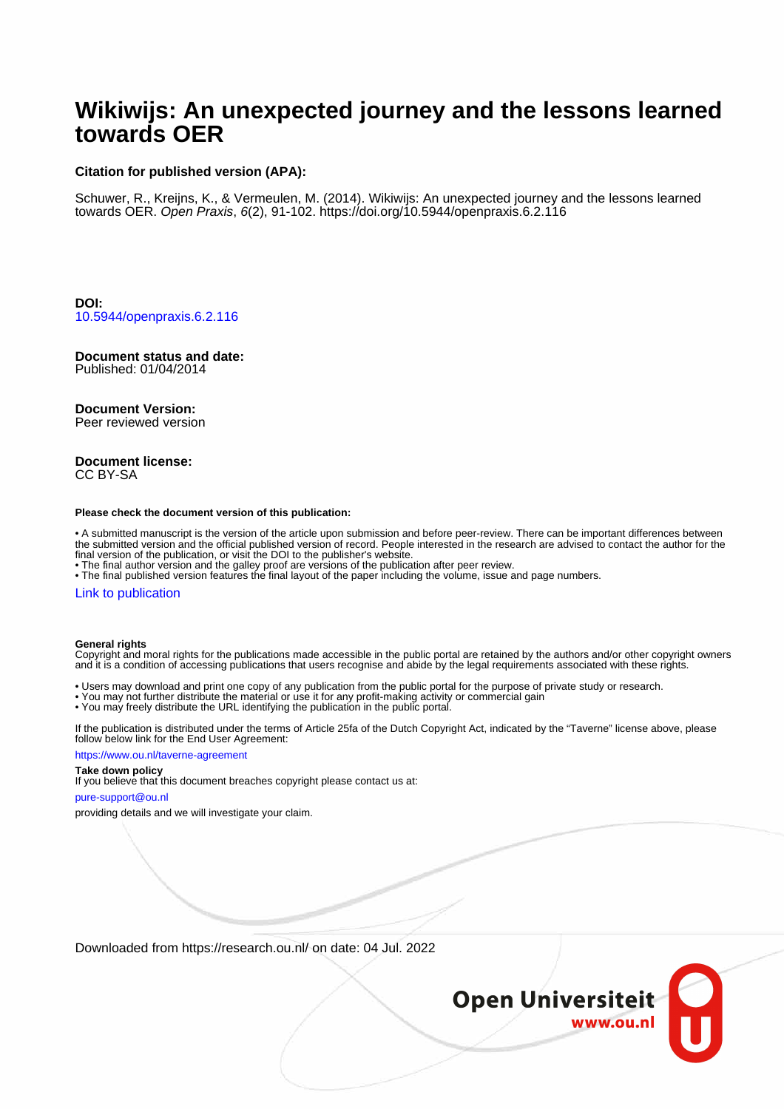# **Wikiwijs: An unexpected journey and the lessons learned towards OER**

#### **Citation for published version (APA):**

Schuwer, R., Kreijns, K., & Vermeulen, M. (2014). Wikiwijs: An unexpected journey and the lessons learned towards OER. Open Praxis, 6(2), 91-102. <https://doi.org/10.5944/openpraxis.6.2.116>

**DOI:** [10.5944/openpraxis.6.2.116](https://doi.org/10.5944/openpraxis.6.2.116)

# **Document status and date:**

Published: 01/04/2014

#### **Document Version:**

Peer reviewed version

#### **Document license:** CC BY-SA

#### **Please check the document version of this publication:**

• A submitted manuscript is the version of the article upon submission and before peer-review. There can be important differences between the submitted version and the official published version of record. People interested in the research are advised to contact the author for the final version of the publication, or visit the DOI to the publisher's website.

• The final author version and the galley proof are versions of the publication after peer review.

• The final published version features the final layout of the paper including the volume, issue and page numbers.

#### [Link to publication](https://research.ou.nl/en/publications/056947fe-2834-4890-b7d9-f90ee773892d)

#### **General rights**

Copyright and moral rights for the publications made accessible in the public portal are retained by the authors and/or other copyright owners and it is a condition of accessing publications that users recognise and abide by the legal requirements associated with these rights.

- Users may download and print one copy of any publication from the public portal for the purpose of private study or research.
- You may not further distribute the material or use it for any profit-making activity or commercial gain
- You may freely distribute the URL identifying the publication in the public portal.

If the publication is distributed under the terms of Article 25fa of the Dutch Copyright Act, indicated by the "Taverne" license above, please follow below link for the End User Agreement:

#### https://www.ou.nl/taverne-agreement

#### **Take down policy**

If you believe that this document breaches copyright please contact us at:

#### pure-support@ou.nl

providing details and we will investigate your claim.

Downloaded from https://research.ou.nl/ on date: 04 Jul. 2022

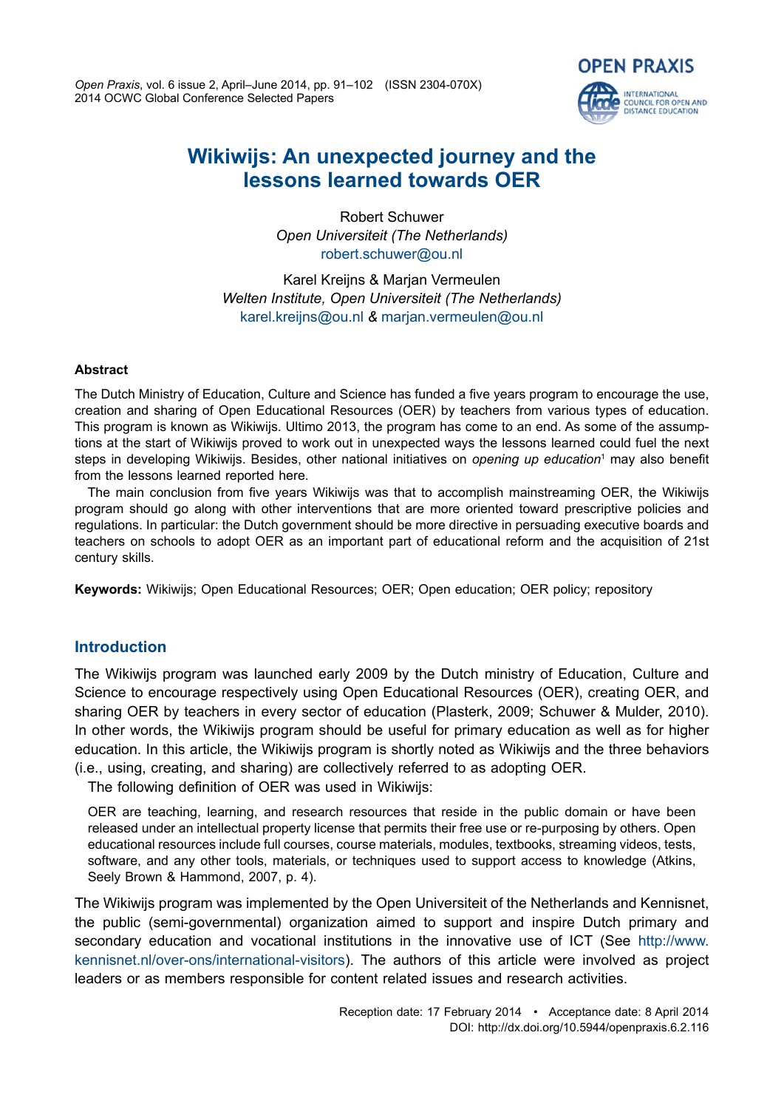*Open Praxis*, vol. 6 issue 2, April–June 2014, pp. 91–102 (ISSN 2304-070X) 2014 OCWC Global Conference Selected Papers



# **Wikiwijs: An unexpected journey and the lessons learned towards OER**

Robert Schuwer *Open Universiteit (The Netherlands)* [robert.schuwer@ou.nl](mailto:robert.schuwer@ou.nl)

Karel Kreijns & Marjan Vermeulen *Welten Institute, Open Universiteit (The Netherlands)* [karel.kreijns@ou.nl](mailto:karel.kreijns@ou.nl) *&* [marjan.vermeulen@ou.nl](mailto:marjan.vermeulen@ou.nl)

#### **Abstract**

The Dutch Ministry of Education, Culture and Science has funded a five years program to encourage the use, creation and sharing of Open Educational Resources (OER) by teachers from various types of education. This program is known as Wikiwijs. Ultimo 2013, the program has come to an end. As some of the assumptions at the start of Wikiwijs proved to work out in unexpected ways the lessons learned could fuel the next steps in developing Wikiwijs. Besides, other national initiatives on *opening up education*<sup>1</sup> may also benefit from the lessons learned reported here.

The main conclusion from five years Wikiwijs was that to accomplish mainstreaming OER, the Wikiwijs program should go along with other interventions that are more oriented toward prescriptive policies and regulations. In particular: the Dutch government should be more directive in persuading executive boards and teachers on schools to adopt OER as an important part of educational reform and the acquisition of 21st century skills.

**Keywords:** Wikiwijs; Open Educational Resources; OER; Open education; OER policy; repository

# **Introduction**

The Wikiwijs program was launched early 2009 by the Dutch ministry of Education, Culture and Science to encourage respectively using Open Educational Resources (OER), creating OER, and sharing OER by teachers in every sector of education (Plasterk, 2009; Schuwer & Mulder, 2010). In other words, the Wikiwijs program should be useful for primary education as well as for higher education. In this article, the Wikiwijs program is shortly noted as Wikiwijs and the three behaviors (i.e., using, creating, and sharing) are collectively referred to as adopting OER.

The following definition of OER was used in Wikiwijs:

OER are teaching, learning, and research resources that reside in the public domain or have been released under an intellectual property license that permits their free use or re-purposing by others. Open educational resources include full courses, course materials, modules, textbooks, streaming videos, tests, software, and any other tools, materials, or techniques used to support access to knowledge (Atkins, Seely Brown & Hammond, 2007, p. 4).

The Wikiwijs program was implemented by the Open Universiteit of the Netherlands and Kennisnet, the public (semi-governmental) organization aimed to support and inspire Dutch primary and secondary education and vocational institutions in the innovative use of ICT (See [http://www.](http://www. kennisnet.nl/over-ons/international-visitors) [kennisnet.nl/over-ons/international-visitors](http://www. kennisnet.nl/over-ons/international-visitors)). The authors of this article were involved as project leaders or as members responsible for content related issues and research activities.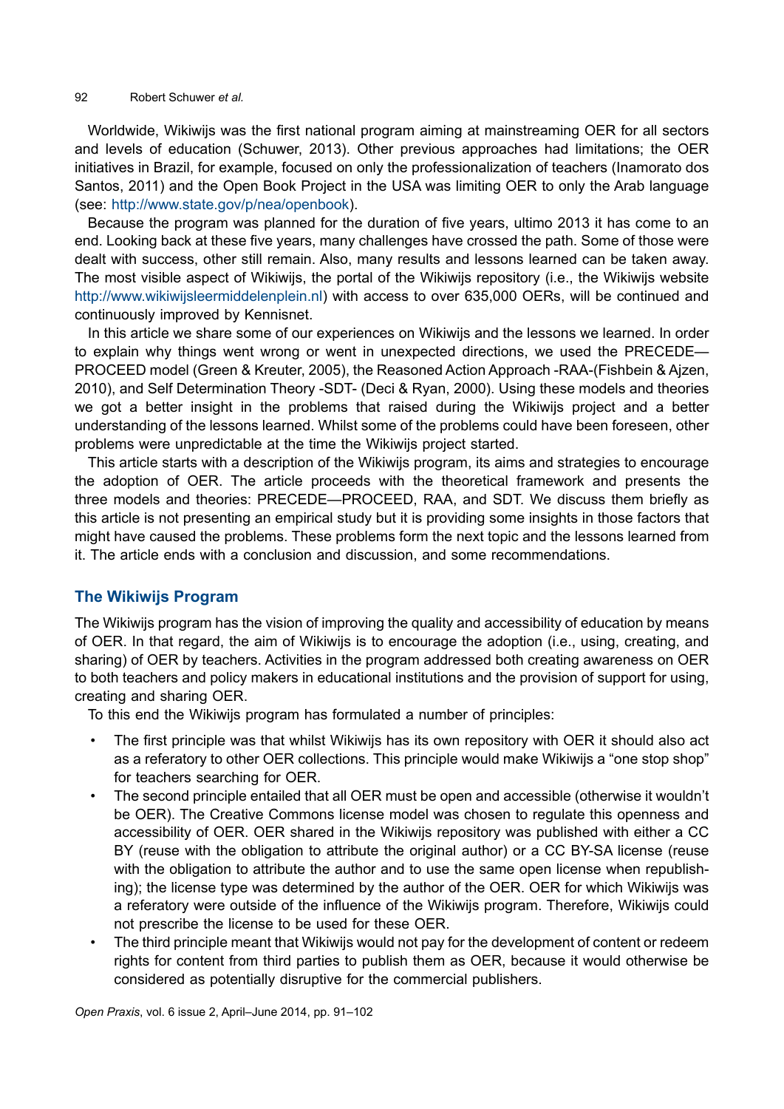#### 92 Robert Schuwer *et al.*

Worldwide, Wikiwijs was the first national program aiming at mainstreaming OER for all sectors and levels of education (Schuwer, 2013). Other previous approaches had limitations; the OER initiatives in Brazil, for example, focused on only the professionalization of teachers (Inamorato dos Santos, 2011) and the Open Book Project in the USA was limiting OER to only the Arab language (see: <http://www.state.gov/p/nea/openbook>).

Because the program was planned for the duration of five years, ultimo 2013 it has come to an end. Looking back at these five years, many challenges have crossed the path. Some of those were dealt with success, other still remain. Also, many results and lessons learned can be taken away. The most visible aspect of Wikiwijs, the portal of the Wikiwijs repository (i.e., the Wikiwijs website [http://www.wikiwijsleermiddelenplein.nl](http://www.wikiwijsleermiddelenplein.nl/)) with access to over 635,000 OERs, will be continued and continuously improved by Kennisnet.

In this article we share some of our experiences on Wikiwijs and the lessons we learned. In order to explain why things went wrong or went in unexpected directions, we used the PRECEDE— PROCEED model (Green & Kreuter, 2005), the Reasoned Action Approach -RAA-(Fishbein & Ajzen, 2010), and Self Determination Theory -SDT- (Deci & Ryan, 2000). Using these models and theories we got a better insight in the problems that raised during the Wikiwijs project and a better understanding of the lessons learned. Whilst some of the problems could have been foreseen, other problems were unpredictable at the time the Wikiwijs project started.

This article starts with a description of the Wikiwijs program, its aims and strategies to encourage the adoption of OER. The article proceeds with the theoretical framework and presents the three models and theories: PRECEDE—PROCEED, RAA, and SDT. We discuss them briefly as this article is not presenting an empirical study but it is providing some insights in those factors that might have caused the problems. These problems form the next topic and the lessons learned from it. The article ends with a conclusion and discussion, and some recommendations.

# **The Wikiwijs Program**

The Wikiwijs program has the vision of improving the quality and accessibility of education by means of OER. In that regard, the aim of Wikiwijs is to encourage the adoption (i.e., using, creating, and sharing) of OER by teachers. Activities in the program addressed both creating awareness on OER to both teachers and policy makers in educational institutions and the provision of support for using, creating and sharing OER.

To this end the Wikiwijs program has formulated a number of principles:

- The first principle was that whilst Wikiwijs has its own repository with OER it should also act as a referatory to other OER collections. This principle would make Wikiwijs a "one stop shop" for teachers searching for OER.
- The second principle entailed that all OER must be open and accessible (otherwise it wouldn't be OER). The Creative Commons license model was chosen to regulate this openness and accessibility of OER. OER shared in the Wikiwijs repository was published with either a CC BY (reuse with the obligation to attribute the original author) or a CC BY-SA license (reuse with the obligation to attribute the author and to use the same open license when republishing); the license type was determined by the author of the OER. OER for which Wikiwijs was a referatory were outside of the influence of the Wikiwijs program. Therefore, Wikiwijs could not prescribe the license to be used for these OER.
- The third principle meant that Wikiwijs would not pay for the development of content or redeem rights for content from third parties to publish them as OER, because it would otherwise be considered as potentially disruptive for the commercial publishers.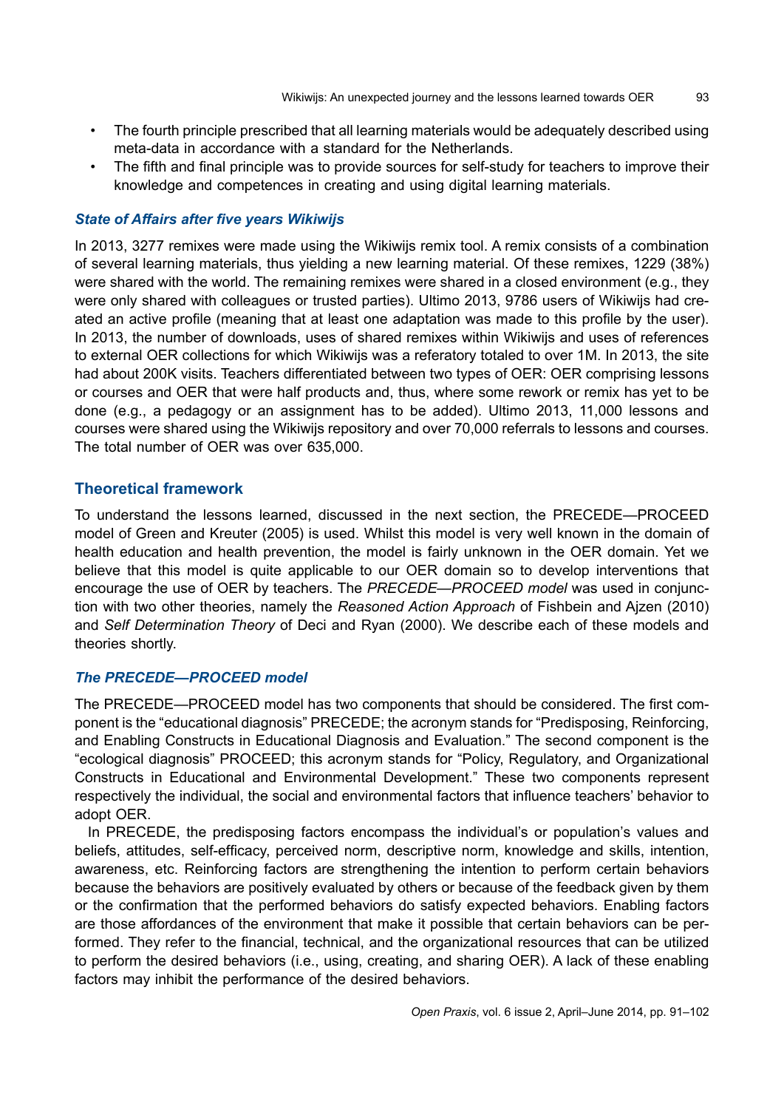- The fourth principle prescribed that all learning materials would be adequately described using meta-data in accordance with a standard for the Netherlands.
- The fifth and final principle was to provide sources for self-study for teachers to improve their knowledge and competences in creating and using digital learning materials.

## *State of Affairs after five years Wikiwijs*

In 2013, 3277 remixes were made using the Wikiwijs remix tool. A remix consists of a combination of several learning materials, thus yielding a new learning material. Of these remixes, 1229 (38%) were shared with the world. The remaining remixes were shared in a closed environment (e.g., they were only shared with colleagues or trusted parties). Ultimo 2013, 9786 users of Wikiwijs had created an active profile (meaning that at least one adaptation was made to this profile by the user). In 2013, the number of downloads, uses of shared remixes within Wikiwijs and uses of references to external OER collections for which Wikiwijs was a referatory totaled to over 1M. In 2013, the site had about 200K visits. Teachers differentiated between two types of OER: OER comprising lessons or courses and OER that were half products and, thus, where some rework or remix has yet to be done (e.g., a pedagogy or an assignment has to be added). Ultimo 2013, 11,000 lessons and courses were shared using the Wikiwijs repository and over 70,000 referrals to lessons and courses. The total number of OER was over 635,000.

# **Theoretical framework**

To understand the lessons learned, discussed in the next section, the PRECEDE—PROCEED model of Green and Kreuter (2005) is used. Whilst this model is very well known in the domain of health education and health prevention, the model is fairly unknown in the OER domain. Yet we believe that this model is quite applicable to our OER domain so to develop interventions that encourage the use of OER by teachers. The *PRECEDE—PROCEED model* was used in conjunction with two other theories, namely the *Reasoned Action Approach* of Fishbein and Ajzen (2010) and *Self Determination Theory* of Deci and Ryan (2000). We describe each of these models and theories shortly.

## *The PRECEDE—PROCEED model*

The PRECEDE—PROCEED model has two components that should be considered. The first component is the "educational diagnosis" PRECEDE; the acronym stands for "Predisposing, Reinforcing, and Enabling Constructs in Educational Diagnosis and Evaluation." The second component is the "ecological diagnosis" PROCEED; this acronym stands for "Policy, Regulatory, and Organizational Constructs in Educational and Environmental Development." These two components represent respectively the individual, the social and environmental factors that influence teachers' behavior to adopt OER.

In PRECEDE, the predisposing factors encompass the individual's or population's values and beliefs, attitudes, self-efficacy, perceived norm, descriptive norm, knowledge and skills, intention, awareness, etc. Reinforcing factors are strengthening the intention to perform certain behaviors because the behaviors are positively evaluated by others or because of the feedback given by them or the confirmation that the performed behaviors do satisfy expected behaviors. Enabling factors are those affordances of the environment that make it possible that certain behaviors can be performed. They refer to the financial, technical, and the organizational resources that can be utilized to perform the desired behaviors (i.e., using, creating, and sharing OER). A lack of these enabling factors may inhibit the performance of the desired behaviors.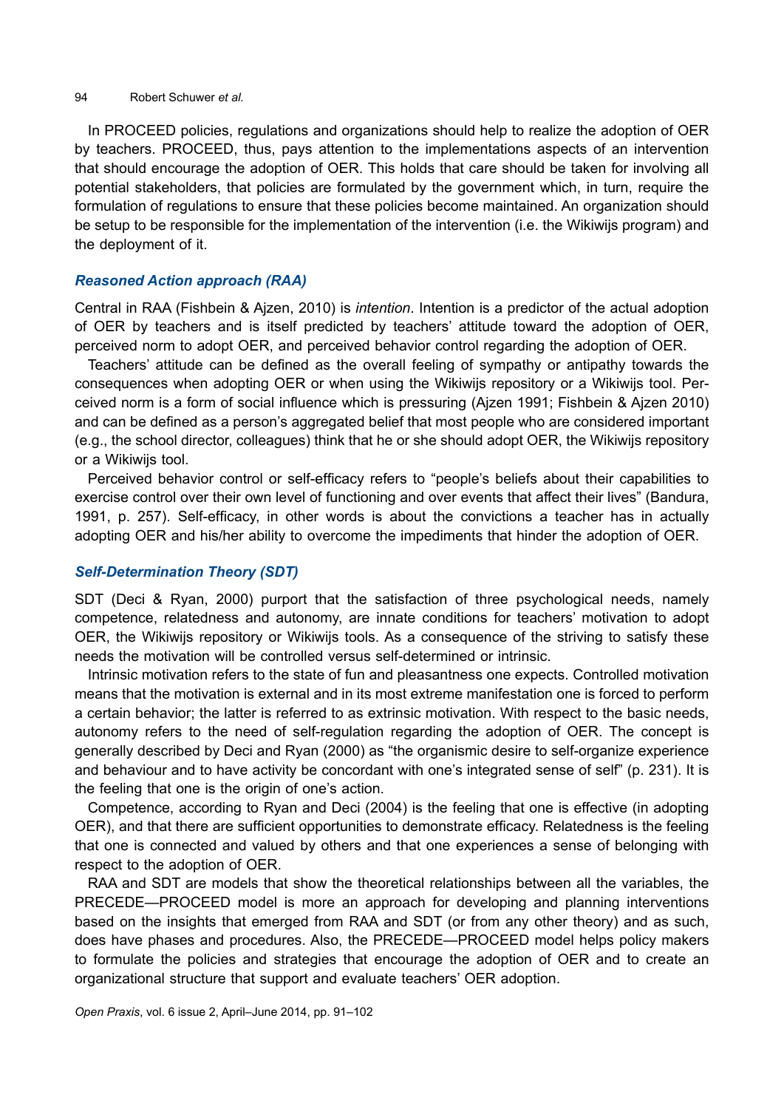#### 94 Robert Schuwer *et al.*

In PROCEED policies, regulations and organizations should help to realize the adoption of OER by teachers. PROCEED, thus, pays attention to the implementations aspects of an intervention that should encourage the adoption of OER. This holds that care should be taken for involving all potential stakeholders, that policies are formulated by the government which, in turn, require the formulation of regulations to ensure that these policies become maintained. An organization should be setup to be responsible for the implementation of the intervention (i.e. the Wikiwijs program) and the deployment of it.

## *Reasoned Action approach (RAA)*

Central in RAA (Fishbein & Ajzen, 2010) is *intention*. Intention is a predictor of the actual adoption of OER by teachers and is itself predicted by teachers' attitude toward the adoption of OER, perceived norm to adopt OER, and perceived behavior control regarding the adoption of OER.

Teachers' attitude can be defined as the overall feeling of sympathy or antipathy towards the consequences when adopting OER or when using the Wikiwijs repository or a Wikiwijs tool. Perceived norm is a form of social influence which is pressuring (Ajzen 1991; Fishbein & Ajzen 2010) and can be defined as a person's aggregated belief that most people who are considered important (e.g., the school director, colleagues) think that he or she should adopt OER, the Wikiwijs repository or a Wikiwijs tool.

Perceived behavior control or self-efficacy refers to "people's beliefs about their capabilities to exercise control over their own level of functioning and over events that affect their lives" (Bandura, 1991, p. 257). Self-efficacy, in other words is about the convictions a teacher has in actually adopting OER and his/her ability to overcome the impediments that hinder the adoption of OER.

# *Self-Determination Theory (SDT)*

SDT (Deci & Ryan, 2000) purport that the satisfaction of three psychological needs, namely competence, relatedness and autonomy, are innate conditions for teachers' motivation to adopt OER, the Wikiwijs repository or Wikiwijs tools. As a consequence of the striving to satisfy these needs the motivation will be controlled versus self-determined or intrinsic.

Intrinsic motivation refers to the state of fun and pleasantness one expects. Controlled motivation means that the motivation is external and in its most extreme manifestation one is forced to perform a certain behavior; the latter is referred to as extrinsic motivation. With respect to the basic needs, autonomy refers to the need of self-regulation regarding the adoption of OER. The concept is generally described by Deci and Ryan (2000) as "the organismic desire to self-organize experience and behaviour and to have activity be concordant with one's integrated sense of self" (p. 231). It is the feeling that one is the origin of one's action.

Competence, according to Ryan and Deci (2004) is the feeling that one is effective (in adopting OER), and that there are sufficient opportunities to demonstrate efficacy. Relatedness is the feeling that one is connected and valued by others and that one experiences a sense of belonging with respect to the adoption of OER.

RAA and SDT are models that show the theoretical relationships between all the variables, the PRECEDE—PROCEED model is more an approach for developing and planning interventions based on the insights that emerged from RAA and SDT (or from any other theory) and as such, does have phases and procedures. Also, the PRECEDE—PROCEED model helps policy makers to formulate the policies and strategies that encourage the adoption of OER and to create an organizational structure that support and evaluate teachers' OER adoption.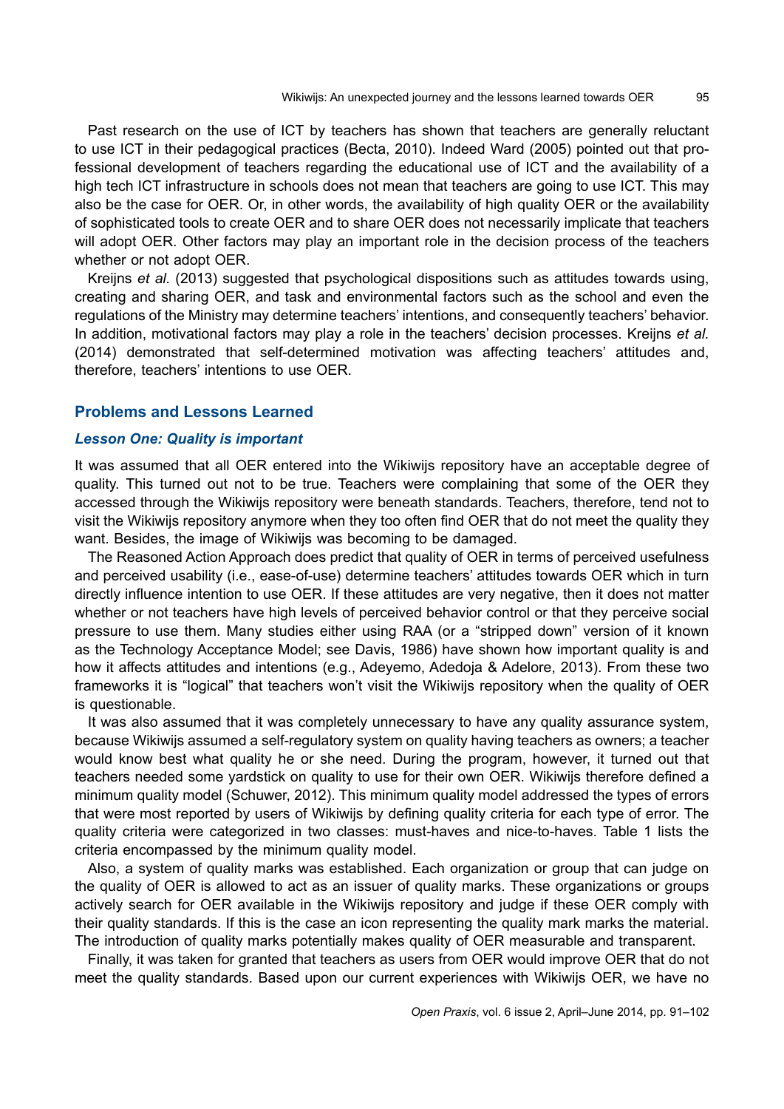Past research on the use of ICT by teachers has shown that teachers are generally reluctant to use ICT in their pedagogical practices (Becta, 2010). Indeed Ward (2005) pointed out that professional development of teachers regarding the educational use of ICT and the availability of a high tech ICT infrastructure in schools does not mean that teachers are going to use ICT. This may also be the case for OER. Or, in other words, the availability of high quality OER or the availability of sophisticated tools to create OER and to share OER does not necessarily implicate that teachers will adopt OER. Other factors may play an important role in the decision process of the teachers whether or not adopt OER.

Kreijns *et al.* (2013) suggested that psychological dispositions such as attitudes towards using, creating and sharing OER, and task and environmental factors such as the school and even the regulations of the Ministry may determine teachers' intentions, and consequently teachers' behavior. In addition, motivational factors may play a role in the teachers' decision processes. Kreijns *et al.* (2014) demonstrated that self-determined motivation was affecting teachers' attitudes and, therefore, teachers' intentions to use OER.

# **Problems and Lessons Learned**

#### *Lesson One: Quality is important*

It was assumed that all OER entered into the Wikiwijs repository have an acceptable degree of quality. This turned out not to be true. Teachers were complaining that some of the OER they accessed through the Wikiwijs repository were beneath standards. Teachers, therefore, tend not to visit the Wikiwijs repository anymore when they too often find OER that do not meet the quality they want. Besides, the image of Wikiwijs was becoming to be damaged.

The Reasoned Action Approach does predict that quality of OER in terms of perceived usefulness and perceived usability (i.e., ease-of-use) determine teachers' attitudes towards OER which in turn directly influence intention to use OER. If these attitudes are very negative, then it does not matter whether or not teachers have high levels of perceived behavior control or that they perceive social pressure to use them. Many studies either using RAA (or a "stripped down" version of it known as the Technology Acceptance Model; see Davis, 1986) have shown how important quality is and how it affects attitudes and intentions (e.g., Adeyemo, Adedoja & Adelore, 2013). From these two frameworks it is "logical" that teachers won't visit the Wikiwijs repository when the quality of OER is questionable.

It was also assumed that it was completely unnecessary to have any quality assurance system, because Wikiwijs assumed a self-regulatory system on quality having teachers as owners; a teacher would know best what quality he or she need. During the program, however, it turned out that teachers needed some yardstick on quality to use for their own OER. Wikiwijs therefore defined a minimum quality model (Schuwer, 2012). This minimum quality model addressed the types of errors that were most reported by users of Wikiwijs by defining quality criteria for each type of error. The quality criteria were categorized in two classes: must-haves and nice-to-haves. Table 1 lists the criteria encompassed by the minimum quality model.

Also, a system of quality marks was established. Each organization or group that can judge on the quality of OER is allowed to act as an issuer of quality marks. These organizations or groups actively search for OER available in the Wikiwijs repository and judge if these OER comply with their quality standards. If this is the case an icon representing the quality mark marks the material. The introduction of quality marks potentially makes quality of OER measurable and transparent.

Finally, it was taken for granted that teachers as users from OER would improve OER that do not meet the quality standards. Based upon our current experiences with Wikiwijs OER, we have no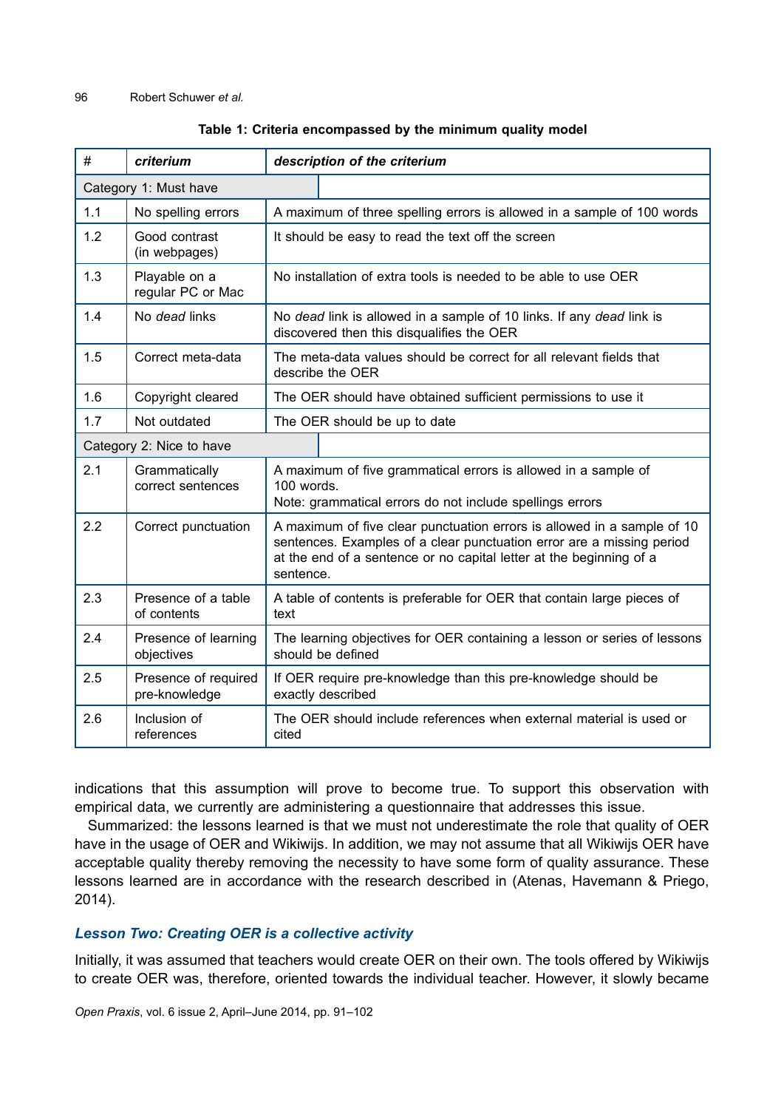| #                        | criterium                             |                                                                                                                                                                                                                                      | description of the criterium |
|--------------------------|---------------------------------------|--------------------------------------------------------------------------------------------------------------------------------------------------------------------------------------------------------------------------------------|------------------------------|
| Category 1: Must have    |                                       |                                                                                                                                                                                                                                      |                              |
| 1.1                      | No spelling errors                    | A maximum of three spelling errors is allowed in a sample of 100 words                                                                                                                                                               |                              |
| 1.2                      | Good contrast<br>(in webpages)        | It should be easy to read the text off the screen                                                                                                                                                                                    |                              |
| 1.3                      | Playable on a<br>regular PC or Mac    | No installation of extra tools is needed to be able to use OER                                                                                                                                                                       |                              |
| 1.4                      | No dead links                         | No dead link is allowed in a sample of 10 links. If any dead link is<br>discovered then this disqualifies the OER                                                                                                                    |                              |
| 1.5                      | Correct meta-data                     | The meta-data values should be correct for all relevant fields that<br>describe the OER                                                                                                                                              |                              |
| 1.6                      | Copyright cleared                     | The OER should have obtained sufficient permissions to use it                                                                                                                                                                        |                              |
| 1.7                      | Not outdated                          | The OER should be up to date                                                                                                                                                                                                         |                              |
| Category 2: Nice to have |                                       |                                                                                                                                                                                                                                      |                              |
| 2.1                      | Grammatically<br>correct sentences    | A maximum of five grammatical errors is allowed in a sample of<br>$100$ words.<br>Note: grammatical errors do not include spellings errors                                                                                           |                              |
| 2.2                      | Correct punctuation                   | A maximum of five clear punctuation errors is allowed in a sample of 10<br>sentences. Examples of a clear punctuation error are a missing period<br>at the end of a sentence or no capital letter at the beginning of a<br>sentence. |                              |
| 2.3                      | Presence of a table<br>of contents    | A table of contents is preferable for OER that contain large pieces of<br>text                                                                                                                                                       |                              |
| 2.4                      | Presence of learning<br>objectives    | The learning objectives for OER containing a lesson or series of lessons<br>should be defined                                                                                                                                        |                              |
| 2.5                      | Presence of required<br>pre-knowledge | If OER require pre-knowledge than this pre-knowledge should be<br>exactly described                                                                                                                                                  |                              |
| 2.6                      | Inclusion of<br>references            | The OER should include references when external material is used or<br>cited                                                                                                                                                         |                              |

## **Table 1: Criteria encompassed by the minimum quality model**

indications that this assumption will prove to become true. To support this observation with empirical data, we currently are administering a questionnaire that addresses this issue.

Summarized: the lessons learned is that we must not underestimate the role that quality of OER have in the usage of OER and Wikiwijs. In addition, we may not assume that all Wikiwijs OER have acceptable quality thereby removing the necessity to have some form of quality assurance. These lessons learned are in accordance with the research described in (Atenas, Havemann & Priego, 2014).

# *Lesson Two: Creating OER is a collective activity*

Initially, it was assumed that teachers would create OER on their own. The tools offered by Wikiwijs to create OER was, therefore, oriented towards the individual teacher. However, it slowly became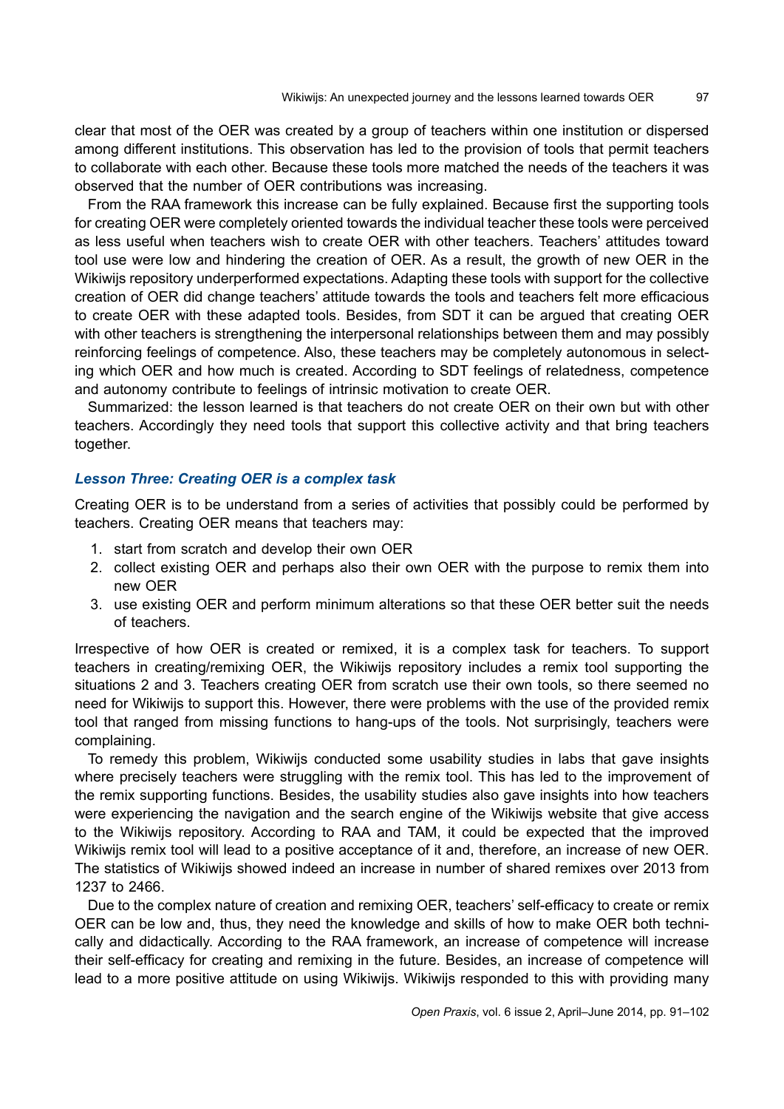clear that most of the OER was created by a group of teachers within one institution or dispersed among different institutions. This observation has led to the provision of tools that permit teachers to collaborate with each other. Because these tools more matched the needs of the teachers it was observed that the number of OER contributions was increasing.

From the RAA framework this increase can be fully explained. Because first the supporting tools for creating OER were completely oriented towards the individual teacher these tools were perceived as less useful when teachers wish to create OER with other teachers. Teachers' attitudes toward tool use were low and hindering the creation of OER. As a result, the growth of new OER in the Wikiwijs repository underperformed expectations. Adapting these tools with support for the collective creation of OER did change teachers' attitude towards the tools and teachers felt more efficacious to create OER with these adapted tools. Besides, from SDT it can be argued that creating OER with other teachers is strengthening the interpersonal relationships between them and may possibly reinforcing feelings of competence. Also, these teachers may be completely autonomous in selecting which OER and how much is created. According to SDT feelings of relatedness, competence and autonomy contribute to feelings of intrinsic motivation to create OER.

Summarized: the lesson learned is that teachers do not create OER on their own but with other teachers. Accordingly they need tools that support this collective activity and that bring teachers together.

## *Lesson Three: Creating OER is a complex task*

Creating OER is to be understand from a series of activities that possibly could be performed by teachers. Creating OER means that teachers may:

- 1. start from scratch and develop their own OER
- 2. collect existing OER and perhaps also their own OER with the purpose to remix them into new OER
- 3. use existing OER and perform minimum alterations so that these OER better suit the needs of teachers.

Irrespective of how OER is created or remixed, it is a complex task for teachers. To support teachers in creating/remixing OER, the Wikiwijs repository includes a remix tool supporting the situations 2 and 3. Teachers creating OER from scratch use their own tools, so there seemed no need for Wikiwijs to support this. However, there were problems with the use of the provided remix tool that ranged from missing functions to hang-ups of the tools. Not surprisingly, teachers were complaining.

To remedy this problem, Wikiwijs conducted some usability studies in labs that gave insights where precisely teachers were struggling with the remix tool. This has led to the improvement of the remix supporting functions. Besides, the usability studies also gave insights into how teachers were experiencing the navigation and the search engine of the Wikiwijs website that give access to the Wikiwijs repository. According to RAA and TAM, it could be expected that the improved Wikiwijs remix tool will lead to a positive acceptance of it and, therefore, an increase of new OER. The statistics of Wikiwijs showed indeed an increase in number of shared remixes over 2013 from 1237 to 2466.

Due to the complex nature of creation and remixing OER, teachers' self-efficacy to create or remix OER can be low and, thus, they need the knowledge and skills of how to make OER both technically and didactically. According to the RAA framework, an increase of competence will increase their self-efficacy for creating and remixing in the future. Besides, an increase of competence will lead to a more positive attitude on using Wikiwijs. Wikiwijs responded to this with providing many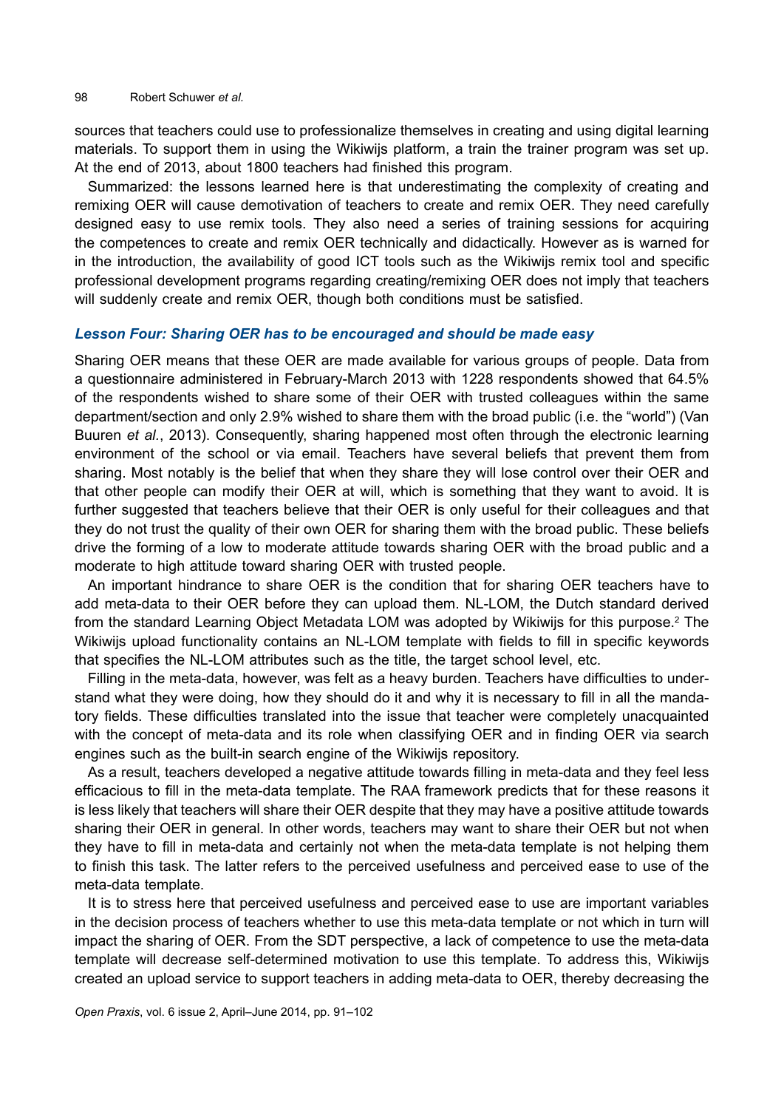sources that teachers could use to professionalize themselves in creating and using digital learning materials. To support them in using the Wikiwijs platform, a train the trainer program was set up. At the end of 2013, about 1800 teachers had finished this program.

Summarized: the lessons learned here is that underestimating the complexity of creating and remixing OER will cause demotivation of teachers to create and remix OER. They need carefully designed easy to use remix tools. They also need a series of training sessions for acquiring the competences to create and remix OER technically and didactically. However as is warned for in the introduction, the availability of good ICT tools such as the Wikiwijs remix tool and specific professional development programs regarding creating/remixing OER does not imply that teachers will suddenly create and remix OER, though both conditions must be satisfied.

#### *Lesson Four: Sharing OER has to be encouraged and should be made easy*

Sharing OER means that these OER are made available for various groups of people. Data from a questionnaire administered in February-March 2013 with 1228 respondents showed that 64.5% of the respondents wished to share some of their OER with trusted colleagues within the same department/section and only 2.9% wished to share them with the broad public (i.e. the "world") (Van Buuren *et al.*, 2013). Consequently, sharing happened most often through the electronic learning environment of the school or via email. Teachers have several beliefs that prevent them from sharing. Most notably is the belief that when they share they will lose control over their OER and that other people can modify their OER at will, which is something that they want to avoid. It is further suggested that teachers believe that their OER is only useful for their colleagues and that they do not trust the quality of their own OER for sharing them with the broad public. These beliefs drive the forming of a low to moderate attitude towards sharing OER with the broad public and a moderate to high attitude toward sharing OER with trusted people.

An important hindrance to share OER is the condition that for sharing OER teachers have to add meta-data to their OER before they can upload them. NL-LOM, the Dutch standard derived from the standard Learning Object Metadata LOM was adopted by Wikiwijs for this purpose.<sup>2</sup> The Wikiwijs upload functionality contains an NL-LOM template with fields to fill in specific keywords that specifies the NL-LOM attributes such as the title, the target school level, etc.

Filling in the meta-data, however, was felt as a heavy burden. Teachers have difficulties to understand what they were doing, how they should do it and why it is necessary to fill in all the mandatory fields. These difficulties translated into the issue that teacher were completely unacquainted with the concept of meta-data and its role when classifying OER and in finding OER via search engines such as the built-in search engine of the Wikiwijs repository.

As a result, teachers developed a negative attitude towards filling in meta-data and they feel less efficacious to fill in the meta-data template. The RAA framework predicts that for these reasons it is less likely that teachers will share their OER despite that they may have a positive attitude towards sharing their OER in general. In other words, teachers may want to share their OER but not when they have to fill in meta-data and certainly not when the meta-data template is not helping them to finish this task. The latter refers to the perceived usefulness and perceived ease to use of the meta-data template.

It is to stress here that perceived usefulness and perceived ease to use are important variables in the decision process of teachers whether to use this meta-data template or not which in turn will impact the sharing of OER. From the SDT perspective, a lack of competence to use the meta-data template will decrease self-determined motivation to use this template. To address this, Wikiwijs created an upload service to support teachers in adding meta-data to OER, thereby decreasing the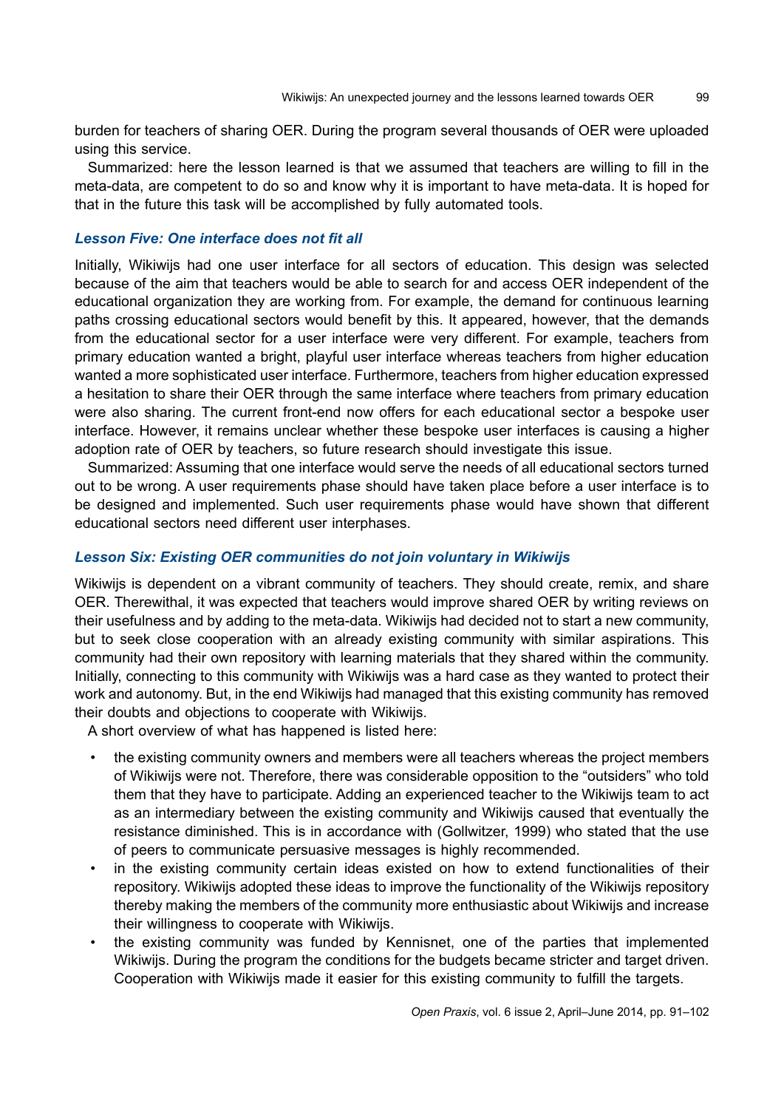burden for teachers of sharing OER. During the program several thousands of OER were uploaded using this service.

Summarized: here the lesson learned is that we assumed that teachers are willing to fill in the meta-data, are competent to do so and know why it is important to have meta-data. It is hoped for that in the future this task will be accomplished by fully automated tools.

# *Lesson Five: One interface does not fit all*

Initially, Wikiwijs had one user interface for all sectors of education. This design was selected because of the aim that teachers would be able to search for and access OER independent of the educational organization they are working from. For example, the demand for continuous learning paths crossing educational sectors would benefit by this. It appeared, however, that the demands from the educational sector for a user interface were very different. For example, teachers from primary education wanted a bright, playful user interface whereas teachers from higher education wanted a more sophisticated user interface. Furthermore, teachers from higher education expressed a hesitation to share their OER through the same interface where teachers from primary education were also sharing. The current front-end now offers for each educational sector a bespoke user interface. However, it remains unclear whether these bespoke user interfaces is causing a higher adoption rate of OER by teachers, so future research should investigate this issue.

Summarized: Assuming that one interface would serve the needs of all educational sectors turned out to be wrong. A user requirements phase should have taken place before a user interface is to be designed and implemented. Such user requirements phase would have shown that different educational sectors need different user interphases.

## *Lesson Six: Existing OER communities do not join voluntary in Wikiwijs*

Wikiwijs is dependent on a vibrant community of teachers. They should create, remix, and share OER. Therewithal, it was expected that teachers would improve shared OER by writing reviews on their usefulness and by adding to the meta-data. Wikiwijs had decided not to start a new community, but to seek close cooperation with an already existing community with similar aspirations. This community had their own repository with learning materials that they shared within the community. Initially, connecting to this community with Wikiwijs was a hard case as they wanted to protect their work and autonomy. But, in the end Wikiwijs had managed that this existing community has removed their doubts and objections to cooperate with Wikiwijs.

A short overview of what has happened is listed here:

- the existing community owners and members were all teachers whereas the project members of Wikiwijs were not. Therefore, there was considerable opposition to the "outsiders" who told them that they have to participate. Adding an experienced teacher to the Wikiwijs team to act as an intermediary between the existing community and Wikiwijs caused that eventually the resistance diminished. This is in accordance with (Gollwitzer, 1999) who stated that the use of peers to communicate persuasive messages is highly recommended.
- in the existing community certain ideas existed on how to extend functionalities of their repository. Wikiwijs adopted these ideas to improve the functionality of the Wikiwijs repository thereby making the members of the community more enthusiastic about Wikiwijs and increase their willingness to cooperate with Wikiwijs.
- the existing community was funded by Kennisnet, one of the parties that implemented Wikiwijs. During the program the conditions for the budgets became stricter and target driven. Cooperation with Wikiwijs made it easier for this existing community to fulfill the targets.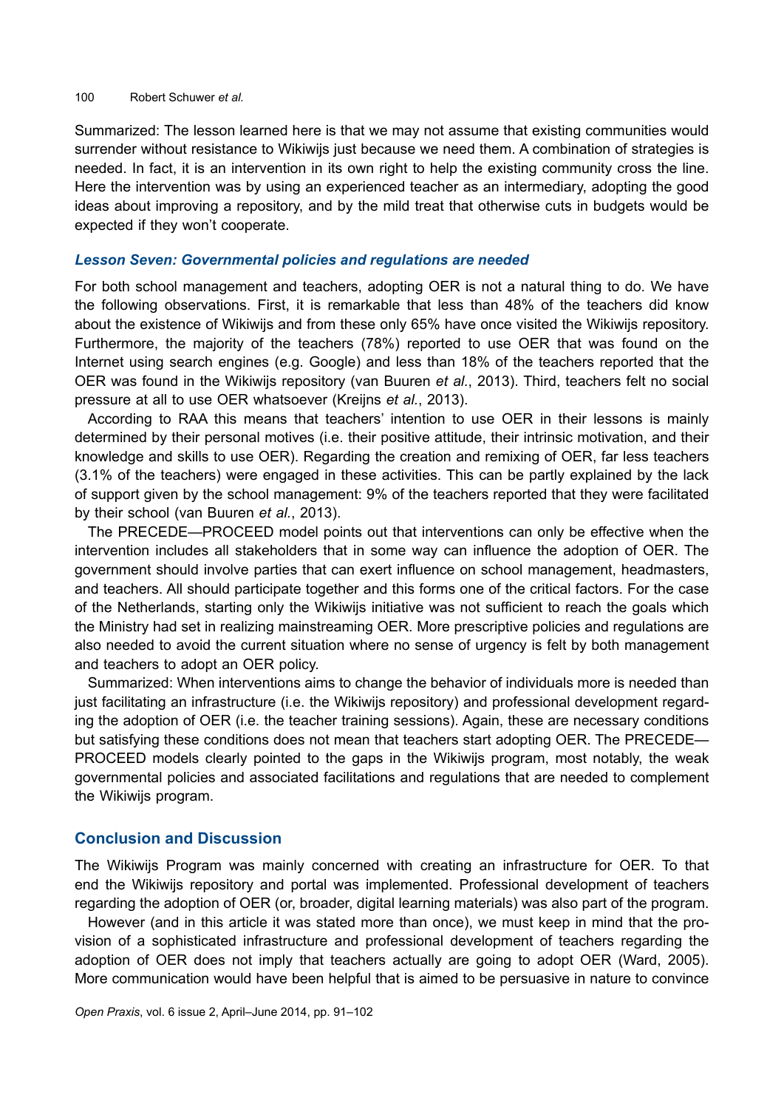#### 100 Robert Schuwer *et al.*

Summarized: The lesson learned here is that we may not assume that existing communities would surrender without resistance to Wikiwijs just because we need them. A combination of strategies is needed. In fact, it is an intervention in its own right to help the existing community cross the line. Here the intervention was by using an experienced teacher as an intermediary, adopting the good ideas about improving a repository, and by the mild treat that otherwise cuts in budgets would be expected if they won't cooperate.

#### *Lesson Seven: Governmental policies and regulations are needed*

For both school management and teachers, adopting OER is not a natural thing to do. We have the following observations. First, it is remarkable that less than 48% of the teachers did know about the existence of Wikiwijs and from these only 65% have once visited the Wikiwijs repository. Furthermore, the majority of the teachers (78%) reported to use OER that was found on the Internet using search engines (e.g. Google) and less than 18% of the teachers reported that the OER was found in the Wikiwijs repository (van Buuren *et al.*, 2013). Third, teachers felt no social pressure at all to use OER whatsoever (Kreijns *et al.*, 2013).

According to RAA this means that teachers' intention to use OER in their lessons is mainly determined by their personal motives (i.e. their positive attitude, their intrinsic motivation, and their knowledge and skills to use OER). Regarding the creation and remixing of OER, far less teachers (3.1% of the teachers) were engaged in these activities. This can be partly explained by the lack of support given by the school management: 9% of the teachers reported that they were facilitated by their school (van Buuren *et al.*, 2013).

The PRECEDE—PROCEED model points out that interventions can only be effective when the intervention includes all stakeholders that in some way can influence the adoption of OER. The government should involve parties that can exert influence on school management, headmasters, and teachers. All should participate together and this forms one of the critical factors. For the case of the Netherlands, starting only the Wikiwijs initiative was not sufficient to reach the goals which the Ministry had set in realizing mainstreaming OER. More prescriptive policies and regulations are also needed to avoid the current situation where no sense of urgency is felt by both management and teachers to adopt an OER policy.

Summarized: When interventions aims to change the behavior of individuals more is needed than just facilitating an infrastructure (i.e. the Wikiwijs repository) and professional development regarding the adoption of OER (i.e. the teacher training sessions). Again, these are necessary conditions but satisfying these conditions does not mean that teachers start adopting OER. The PRECEDE— PROCEED models clearly pointed to the gaps in the Wikiwijs program, most notably, the weak governmental policies and associated facilitations and regulations that are needed to complement the Wikiwijs program.

## **Conclusion and Discussion**

The Wikiwijs Program was mainly concerned with creating an infrastructure for OER. To that end the Wikiwijs repository and portal was implemented. Professional development of teachers regarding the adoption of OER (or, broader, digital learning materials) was also part of the program.

However (and in this article it was stated more than once), we must keep in mind that the provision of a sophisticated infrastructure and professional development of teachers regarding the adoption of OER does not imply that teachers actually are going to adopt OER (Ward, 2005). More communication would have been helpful that is aimed to be persuasive in nature to convince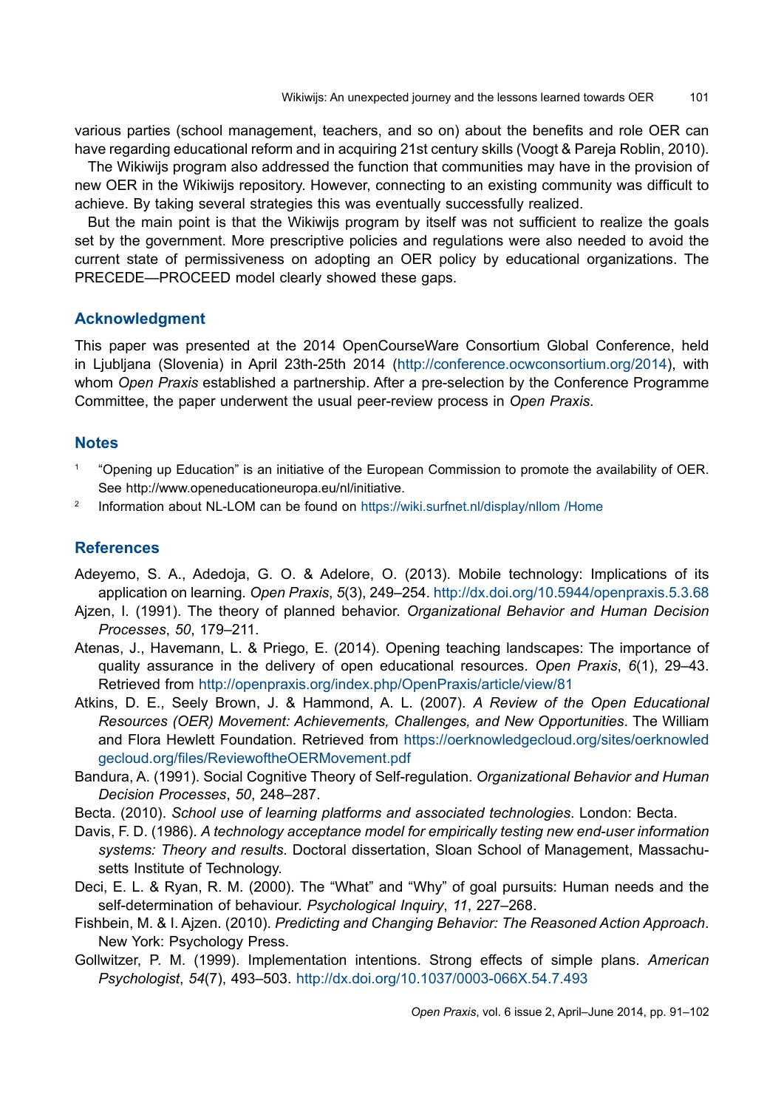various parties (school management, teachers, and so on) about the benefits and role OER can have regarding educational reform and in acquiring 21st century skills (Voogt & Pareja Roblin, 2010).

The Wikiwijs program also addressed the function that communities may have in the provision of new OER in the Wikiwijs repository. However, connecting to an existing community was difficult to achieve. By taking several strategies this was eventually successfully realized.

But the main point is that the Wikiwijs program by itself was not sufficient to realize the goals set by the government. More prescriptive policies and regulations were also needed to avoid the current state of permissiveness on adopting an OER policy by educational organizations. The PRECEDE—PROCEED model clearly showed these gaps.

# **Acknowledgment**

This paper was presented at the 2014 OpenCourseWare Consortium Global Conference, held in Ljubljana (Slovenia) in April 23th-25th 2014 ([http://conference.ocwconsortium.org/2014\)](http://conference.ocwconsortium.org/2014/), with whom *Open Praxis* established a partnership. After a pre-selection by the Conference Programme Committee, the paper underwent the usual peer-review process in *Open Praxis*.

# **Notes**

- <sup>1</sup> "Opening up Education" is an initiative of the European Commission to promote the availability of OER. See http://www.openeducationeuropa.eu/nl/initiative.
- <sup>2</sup> Information about NL-LOM can be found on <https://wiki.surfnet.nl/display/nllom /Home>

# **References**

- Adeyemo, S. A., Adedoja, G. O. & Adelore, O. (2013). Mobile technology: Implications of its application on learning*. Open Praxis*, *5*(3), 249–254.<http://dx.doi.org/10.5944/openpraxis.5.3.68>
- Ajzen, I. (1991). The theory of planned behavior. *Organizational Behavior and Human Decision Processes*, *50*, 179–211.
- Atenas, J., Havemann, L. & Priego, E. (2014). Opening teaching landscapes: The importance of quality assurance in the delivery of open educational resources. *Open Praxis*, *6*(1), 29–43. Retrieved from <http://openpraxis.org/index.php/OpenPraxis/article/view/81>
- Atkins, D. E., Seely Brown, J. & Hammond, A. L. (2007). *A Review of the Open Educational Resources (OER) Movement: Achievements, Challenges, and New Opportunities*. The William and Flora Hewlett Foundation. Retrieved from [https://oerknowledgecloud.org/sites/oerknowled](https://oerknowledgecloud.org/sites/oerknowledgecloud.org/files/ReviewoftheOERMovement.pdf) [gecloud.org/files/ReviewoftheOERMovement.pdf](https://oerknowledgecloud.org/sites/oerknowledgecloud.org/files/ReviewoftheOERMovement.pdf)
- Bandura, A. (1991). Social Cognitive Theory of Self-regulation. *Organizational Behavior and Human Decision Processes*, *50*, 248–287.
- Becta. (2010). *School use of learning platforms and associated technologies*. London: Becta.
- Davis, F. D. (1986). *A technology acceptance model for empirically testing new end-user information systems: Theory and results*. Doctoral dissertation, Sloan School of Management, Massachusetts Institute of Technology.
- Deci, E. L. & Ryan, R. M. (2000). The "What" and "Why" of goal pursuits: Human needs and the self-determination of behaviour. *Psychological Inquiry*, *11*, 227–268.
- Fishbein, M. & I. Ajzen. (2010). *Predicting and Changing Behavior: The Reasoned Action Approach*. New York: Psychology Press.
- Gollwitzer, P. M. (1999). Implementation intentions. Strong effects of simple plans. *American Psychologist*, *54*(7), 493–503. <http://dx.doi.org/10.1037/0003-066X.54.7.493>